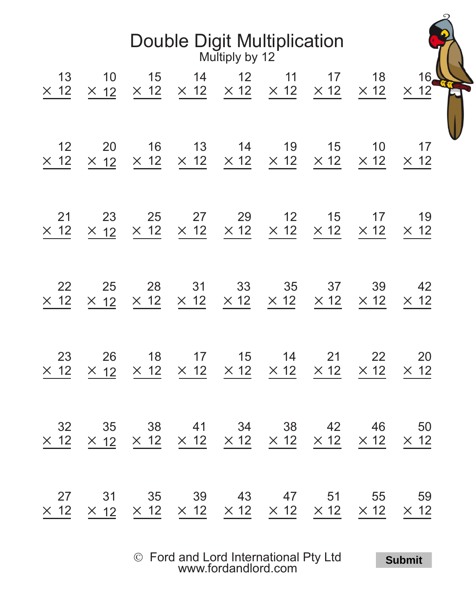| Double Digit Multiplication<br>Multiply by 12 |                   |                   |                   |                                                        |                                                                                                                                     |                   |                   |                    |  |  |  |
|-----------------------------------------------|-------------------|-------------------|-------------------|--------------------------------------------------------|-------------------------------------------------------------------------------------------------------------------------------------|-------------------|-------------------|--------------------|--|--|--|
| 13<br>$\times$ 12                             | 10<br>$\times$ 12 | 15<br>$\times$ 12 | 14                | 12 <sup>°</sup><br>$\times$ 12 $\times$ 12 $\times$ 12 | 11                                                                                                                                  | 17<br>$\times$ 12 | 18<br>$\times$ 12 | 16.<br>$\times$ 12 |  |  |  |
| 12<br>$\times$ 12                             | 20<br>$\times$ 12 | 16<br>$\times$ 12 | 13<br>$\times$ 12 | 14<br>$\times$ 12                                      | 19<br>$\times$ 12                                                                                                                   | 15<br>$\times$ 12 | 10<br>$\times$ 12 | 17<br>$\times$ 12  |  |  |  |
| 21<br>$\times$ 12                             | 23<br>$\times$ 12 | 25<br>$\times$ 12 | 27<br>$\times$ 12 | 29<br>$\times$ 12                                      | 12<br>$\times$ 12                                                                                                                   | 15<br>$\times$ 12 | 17<br>$\times$ 12 | 19<br>$\times$ 12  |  |  |  |
| 22<br>$\times$ 12                             | 25<br>$\times$ 12 | 28<br>$\times$ 12 | 31<br>$\times$ 12 | 33<br>$\times$ 12                                      | 35<br>$\times$ 12                                                                                                                   | 37<br>$\times$ 12 | 39<br>$\times$ 12 | 42<br>$\times$ 12  |  |  |  |
| 23                                            | 26                | 18                | 17                | 15                                                     | 14<br>$\times$ 12 $\times$ 12 $\times$ 12 $\times$ 12 $\times$ 12 $\times$ 12 $\times$ 12 $\times$ 12 $\times$ 12                   | 21                | 22                | 20                 |  |  |  |
| 32                                            |                   |                   |                   |                                                        | 35 38 41 34 38 42 46<br>$\times$ 12 $\times$ 12 $\times$ 12 $\times$ 12 $\times$ 12 $\times$ 12 $\times$ 12 $\times$ 12 $\times$ 12 |                   |                   | 50                 |  |  |  |
| 27<br>$\times$ 12                             | 31                |                   |                   |                                                        | 35 39 43 47 51 55 59<br>$\times$ 12 $\times$ 12 $\times$ 12 $\times$ 12 $\times$ 12 $\times$ 12                                     |                   | $\times$ 12       | $\times$ 12        |  |  |  |

Ó Ford and Lord International Pty Ltd [www.fordandlord.com](http://www.fordandlord.com)

**Submit**

JA